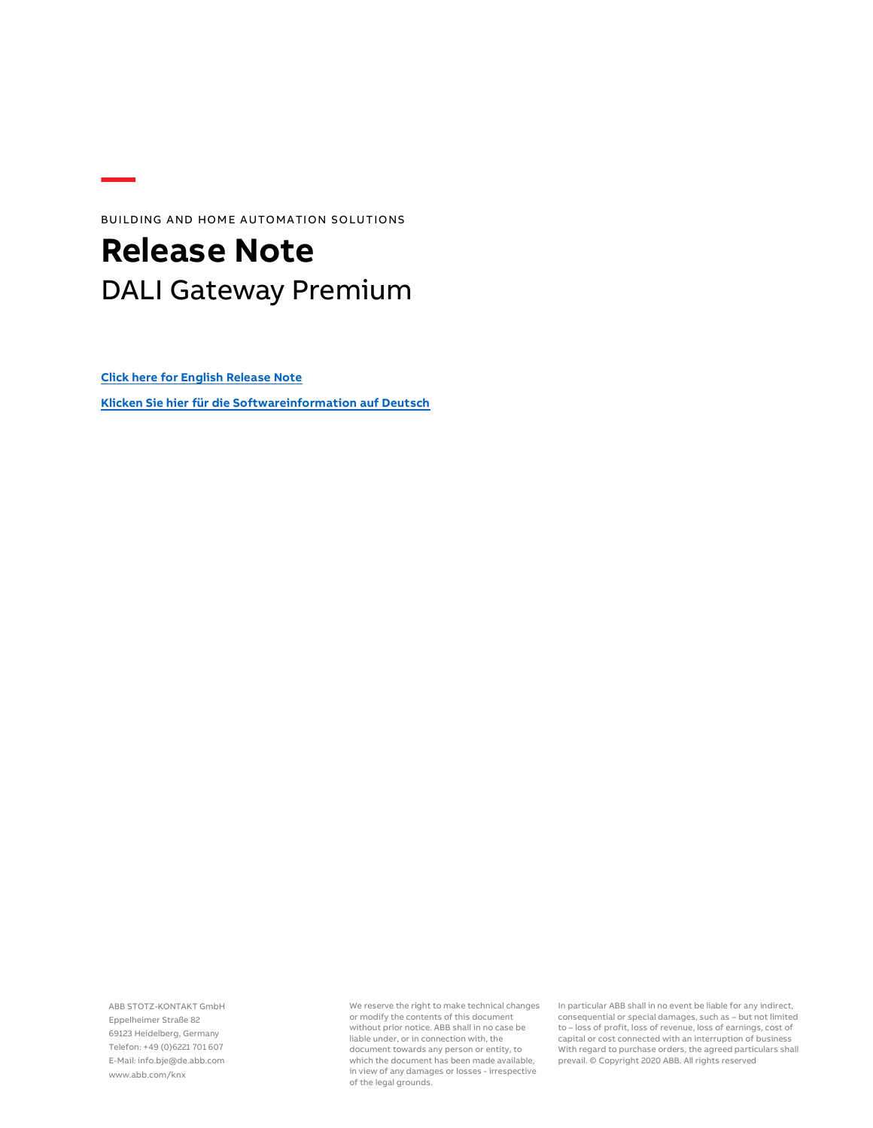BUILDING AND HOME AUTOMATION SOLUTIONS

## **Release Note** DALI Gateway Premium

**[Click here for English Release Note](#page-1-0)**

**[Klicken Sie hier für die Softwareinformation](#page-4-0) auf Deutsch**

ABB STOTZ-KONTAKT GmbH Eppelheimer Straße 82 69123 Heidelberg, Germany Telefon: +49 (0)6221 701 607 E-Mail: info.bje@de.abb.com www.abb.com/knx

We reserve the right to make technical changes or modify the contents of this document without prior notice. ABB shall in no case be liable under, or in connection with, the document towards any person or entity, to which the document has been made available, in view of any damages or losses - irrespective of the legal grounds.

In particular ABB shall in no event be liable for any indirect, consequential or special damages, such as – but not limited to – loss of profit, loss of revenue, loss of earnings, cost of capital or cost connected with an interruption of business With regard to purchase orders, the agreed particulars shall prevail. © Copyright 2020 ABB. All rights reserved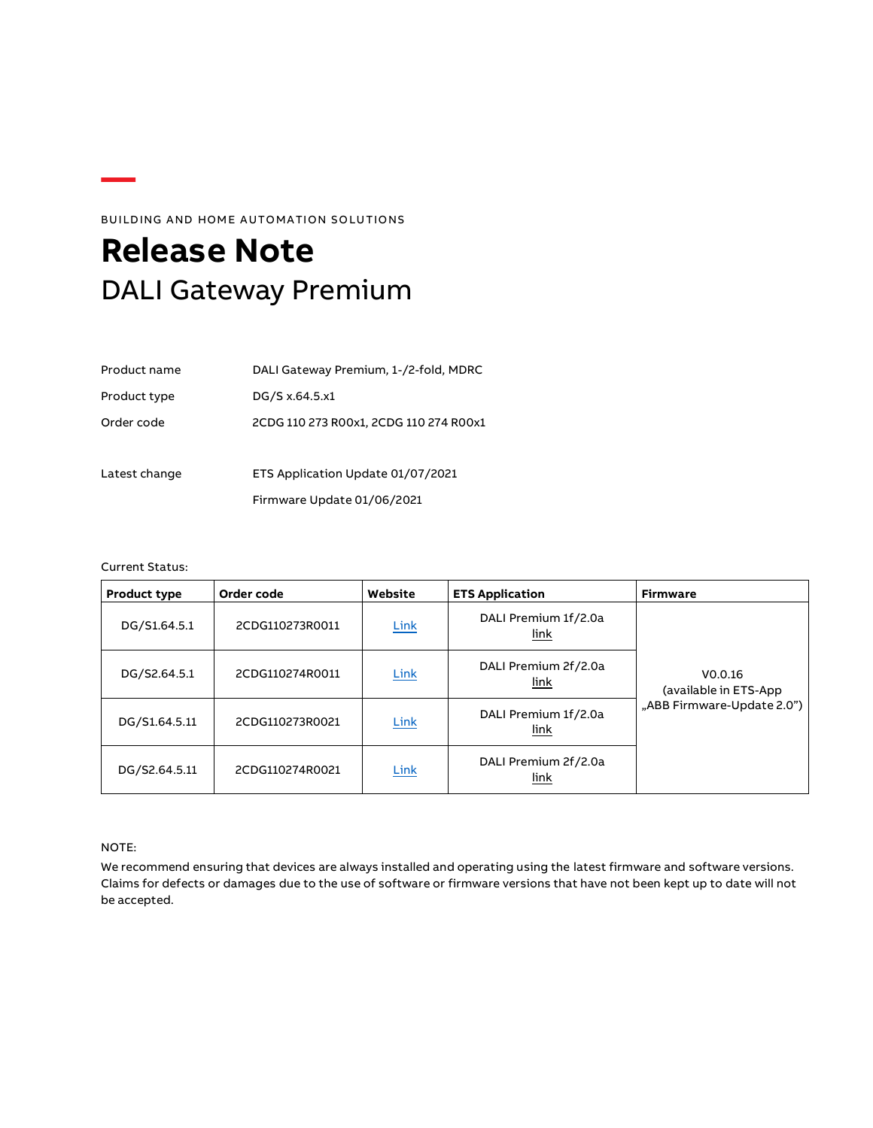### BUILDING AND HOME AUTOMATION SOLUTIONS

# <span id="page-1-0"></span>**Release Note** DALI Gateway Premium

| Product name  | DALI Gateway Premium, 1-/2-fold, MDRC  |
|---------------|----------------------------------------|
| Product type  | DG/S x.64.5.x1                         |
| Order code    | 2CDG 110 273 R00x1, 2CDG 110 274 R00x1 |
|               |                                        |
| Latest change | ETS Application Update 01/07/2021      |
|               | Firmware Update 01/06/2021             |

Current Status:

| <b>Product type</b> | Order code      | Website     | <b>ETS Application</b>       | Firmware                         |
|---------------------|-----------------|-------------|------------------------------|----------------------------------|
| DG/S1.64.5.1        | 2CDG110273R0011 | Link        | DALI Premium 1f/2.0a<br>link |                                  |
| DG/S2.64.5.1        | 2CDG110274R0011 | Link        | DALI Premium 2f/2.0a<br>link | V0.0.16<br>(available in ETS-App |
| DG/S1.64.5.11       | 2CDG110273R0021 | Link        | DALI Premium 1f/2.0a<br>link | "ABB Firmware-Update 2.0")       |
| DG/S2.64.5.11       | 2CDG110274R0021 | <b>Link</b> | DALI Premium 2f/2.0a<br>link |                                  |

NOTE:

We recommend ensuring that devices are always installed and operating using the latest firmware and software versions. Claims for defects or damages due to the use of software or firmware versions that have not been kept up to date will not be accepted.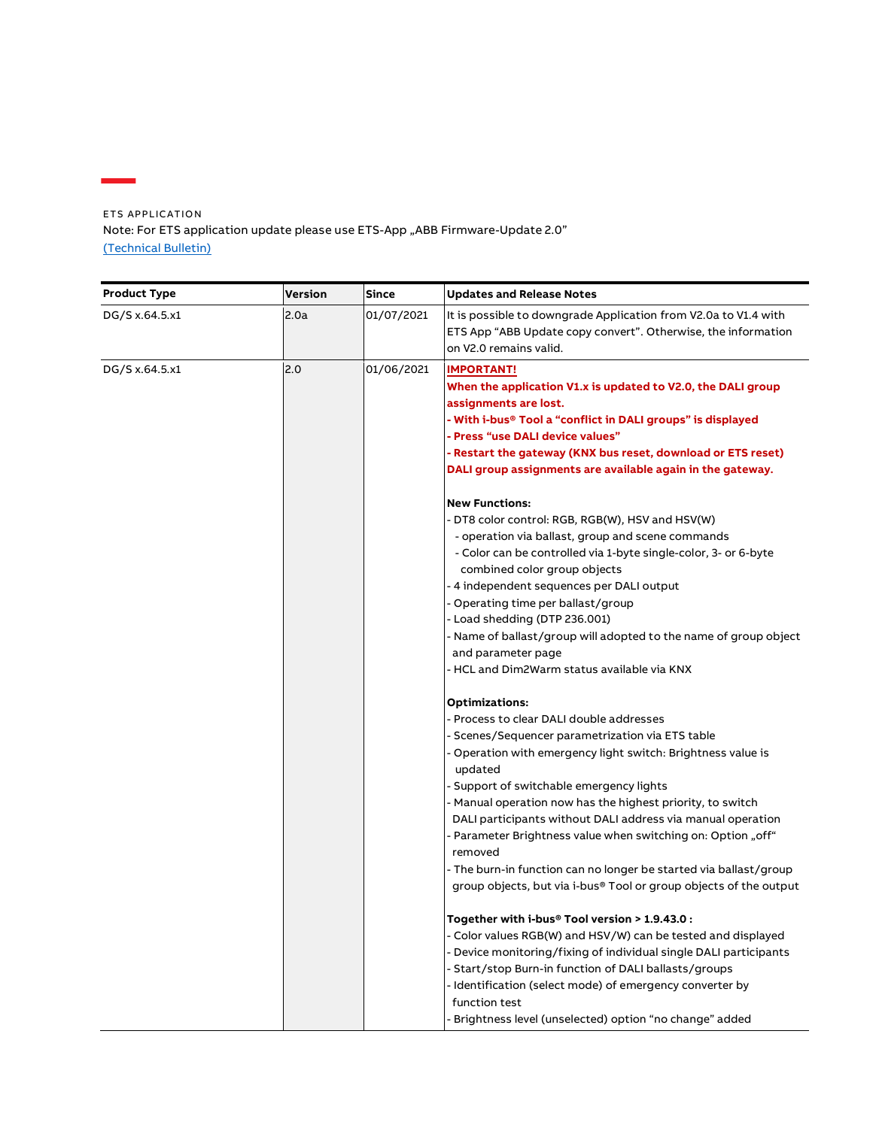ETS APPLICATION Note: For ETS application update please use ETS-App "ABB Firmware-Update 2.0" [\(Technical Bulletin\)](http://search.abb.com/library/Download.aspx?DocumentID=9AKK107680A9015&LanguageCode=en&DocumentPartId=EN&Action=Launch)

Ē,

| <b>Product Type</b> | Version | <b>Since</b> | <b>Updates and Release Notes</b>                                                                                                                                                                                                                                                                                                                                                                                                                                                                                                                                                               |
|---------------------|---------|--------------|------------------------------------------------------------------------------------------------------------------------------------------------------------------------------------------------------------------------------------------------------------------------------------------------------------------------------------------------------------------------------------------------------------------------------------------------------------------------------------------------------------------------------------------------------------------------------------------------|
| DG/S x.64.5.x1      | 2.0a    | 01/07/2021   | It is possible to downgrade Application from V2.0a to V1.4 with<br>ETS App "ABB Update copy convert". Otherwise, the information<br>on V2.0 remains valid.                                                                                                                                                                                                                                                                                                                                                                                                                                     |
| DG/S x.64.5.x1      | 2.0     | 01/06/2021   | <b>IMPORTANT!</b><br>When the application V1.x is updated to V2.0, the DALI group<br>assignments are lost.<br>- With i-bus® Tool a "conflict in DALI groups" is displayed<br>- Press "use DALI device values"<br>- Restart the gateway (KNX bus reset, download or ETS reset)<br>DALI group assignments are available again in the gateway.                                                                                                                                                                                                                                                    |
|                     |         |              | <b>New Functions:</b><br>- DT8 color control: RGB, RGB(W), HSV and HSV(W)<br>- operation via ballast, group and scene commands<br>- Color can be controlled via 1-byte single-color, 3- or 6-byte<br>combined color group objects<br>- 4 independent sequences per DALI output<br>Operating time per ballast/group<br>- Load shedding (DTP 236.001)<br>- Name of ballast/group will adopted to the name of group object<br>and parameter page<br>- HCL and Dim2Warm status available via KNX                                                                                                   |
|                     |         |              | <b>Optimizations:</b><br>- Process to clear DALI double addresses<br>- Scenes/Sequencer parametrization via ETS table<br>- Operation with emergency light switch: Brightness value is<br>updated<br>- Support of switchable emergency lights<br>- Manual operation now has the highest priority, to switch<br>DALI participants without DALI address via manual operation<br>- Parameter Brightness value when switching on: Option "off"<br>removed<br>- The burn-in function can no longer be started via ballast/group<br>group objects, but via i-bus® Tool or group objects of the output |
|                     |         |              | Together with i-bus® Tool version > $1.9.43.0$ :<br>- Color values RGB(W) and HSV/W) can be tested and displayed<br>- Device monitoring/fixing of individual single DALI participants<br>- Start/stop Burn-in function of DALI ballasts/groups<br>- Identification (select mode) of emergency converter by<br>function test<br>Brightness level (unselected) option "no change" added                                                                                                                                                                                                          |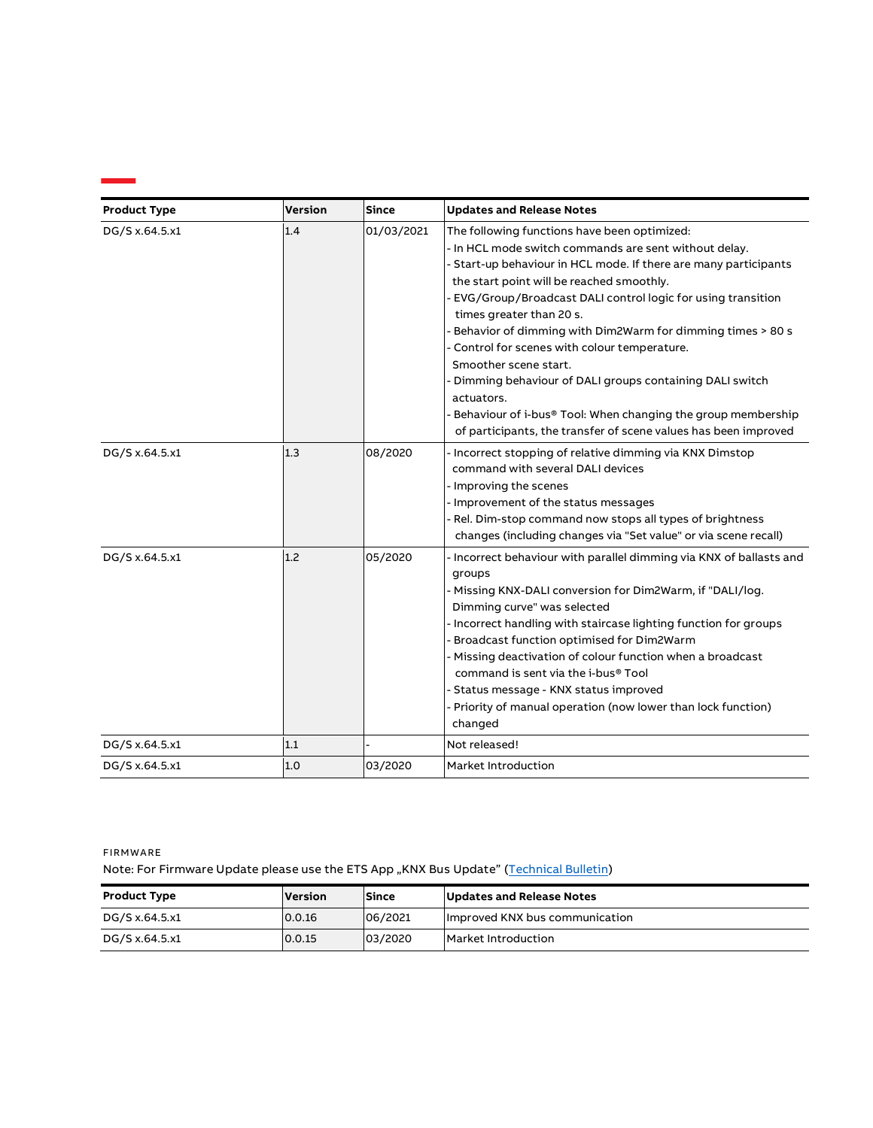| <b>Product Type</b> | <b>Version</b> | <b>Since</b> | <b>Updates and Release Notes</b>                                                                                                                                                                                                                                                                                                                                                                                                                                                                                                                                                                                                                                    |
|---------------------|----------------|--------------|---------------------------------------------------------------------------------------------------------------------------------------------------------------------------------------------------------------------------------------------------------------------------------------------------------------------------------------------------------------------------------------------------------------------------------------------------------------------------------------------------------------------------------------------------------------------------------------------------------------------------------------------------------------------|
| DG/S x.64.5.x1      | 1.4            | 01/03/2021   | The following functions have been optimized:<br>- In HCL mode switch commands are sent without delay.<br>- Start-up behaviour in HCL mode. If there are many participants<br>the start point will be reached smoothly.<br>EVG/Group/Broadcast DALI control logic for using transition<br>times greater than 20 s.<br>Behavior of dimming with Dim2Warm for dimming times > 80 s<br>Control for scenes with colour temperature.<br>Smoother scene start.<br>Dimming behaviour of DALI groups containing DALI switch<br>actuators.<br>Behaviour of i-bus® Tool: When changing the group membership<br>of participants, the transfer of scene values has been improved |
| DG/S x.64.5.x1      | 1.3            | 08/2020      | Incorrect stopping of relative dimming via KNX Dimstop<br>command with several DALI devices<br>Improving the scenes<br>- Improvement of the status messages<br>Rel. Dim-stop command now stops all types of brightness<br>changes (including changes via "Set value" or via scene recall)                                                                                                                                                                                                                                                                                                                                                                           |
| DG/S x.64.5.x1      | 1.2            | 05/2020      | - Incorrect behaviour with parallel dimming via KNX of ballasts and<br>groups<br>Missing KNX-DALI conversion for Dim2Warm, if "DALI/log.<br>Dimming curve" was selected<br>Incorrect handling with staircase lighting function for groups<br>Broadcast function optimised for Dim2Warm<br>Missing deactivation of colour function when a broadcast<br>command is sent via the i-bus® Tool<br>Status message - KNX status improved<br>Priority of manual operation (now lower than lock function)<br>changed                                                                                                                                                         |
| DG/S x.64.5.x1      | 1.1            |              | Not released!                                                                                                                                                                                                                                                                                                                                                                                                                                                                                                                                                                                                                                                       |
| DG/S x.64.5.x1      | 1.0            | 03/2020      | Market Introduction                                                                                                                                                                                                                                                                                                                                                                                                                                                                                                                                                                                                                                                 |

**FIRMWARE** Note: For Firmware Update please use the ETS App "KNX Bus Update" [\(Technical Bulletin\)](http://search.abb.com/library/Download.aspx?DocumentID=9AKK107680A9015&LanguageCode=en&DocumentPartId=EN&Action=Launch)

| Product Type   | Version | <b>Since</b> | Updates and Release Notes      |
|----------------|---------|--------------|--------------------------------|
| DG/S x.64.5.x1 | 0.0.16  | 06/2021      | Improved KNX bus communication |
| DG/S x.64.5.x1 | 0.0.15  | 03/2020      | Market Introduction            |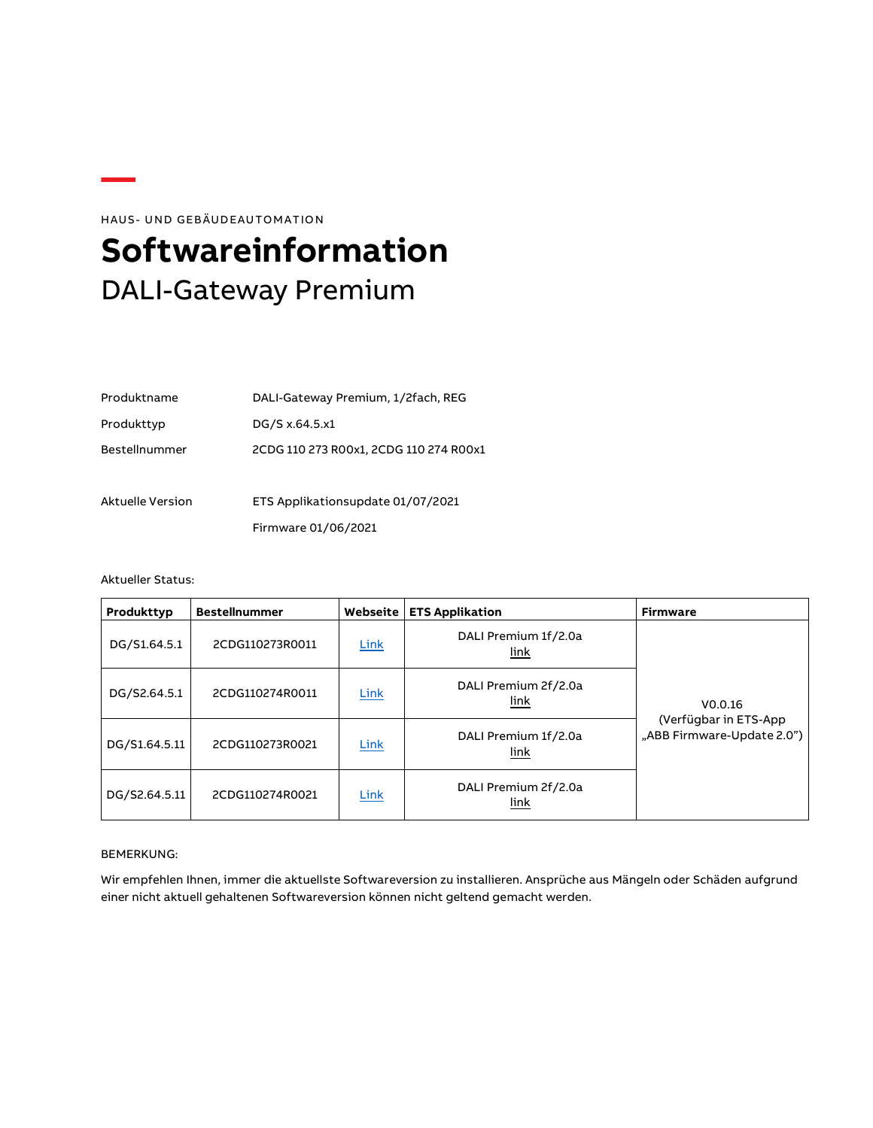<span id="page-4-0"></span>HAUS- UND GEBÄUDEAUTOMATION **Softwareinformation** DALI-Gateway Premium

| Produktname      | DALI-Gateway Premium, 1/2fach, REG     |
|------------------|----------------------------------------|
| Produkttyp       | DG/S x.64.5.x1                         |
| Bestellnummer    | 2CDG 110 273 R00x1, 2CDG 110 274 R00x1 |
|                  |                                        |
| Aktuelle Version | ETS Applikationsupdate 01/07/2021      |
|                  | Firmware 01/06/2021                    |

### Aktueller Status:

| Produkttyp    | <b>Bestellnummer</b> | Webseite    | <b>ETS Applikation</b>       | <b>Firmware</b>                                      |
|---------------|----------------------|-------------|------------------------------|------------------------------------------------------|
| DG/S1.64.5.1  | 2CDG110273R0011      | <b>Link</b> | DALI Premium 1f/2.0a<br>link |                                                      |
| DG/S2.64.5.1  | 2CDG110274R0011      | Link        | DALI Premium 2f/2.0a<br>link | V0.0.16                                              |
| DG/S1.64.5.11 | 2CDG110273R0021      | Link        | DALI Premium 1f/2.0a<br>link | (Verfügbar in ETS-App)<br>"ABB Firmware-Update 2.0") |
| DG/S2.64.5.11 | 2CDG110274R0021      | Link        | DALI Premium 2f/2.0a<br>link |                                                      |

#### BEMERKUNG:

Wir empfehlen Ihnen, immer die aktuellste Softwareversion zu installieren. Ansprüche aus Mängeln oder Schäden aufgrund einer nicht aktuell gehaltenen Softwareversion können nicht geltend gemacht werden.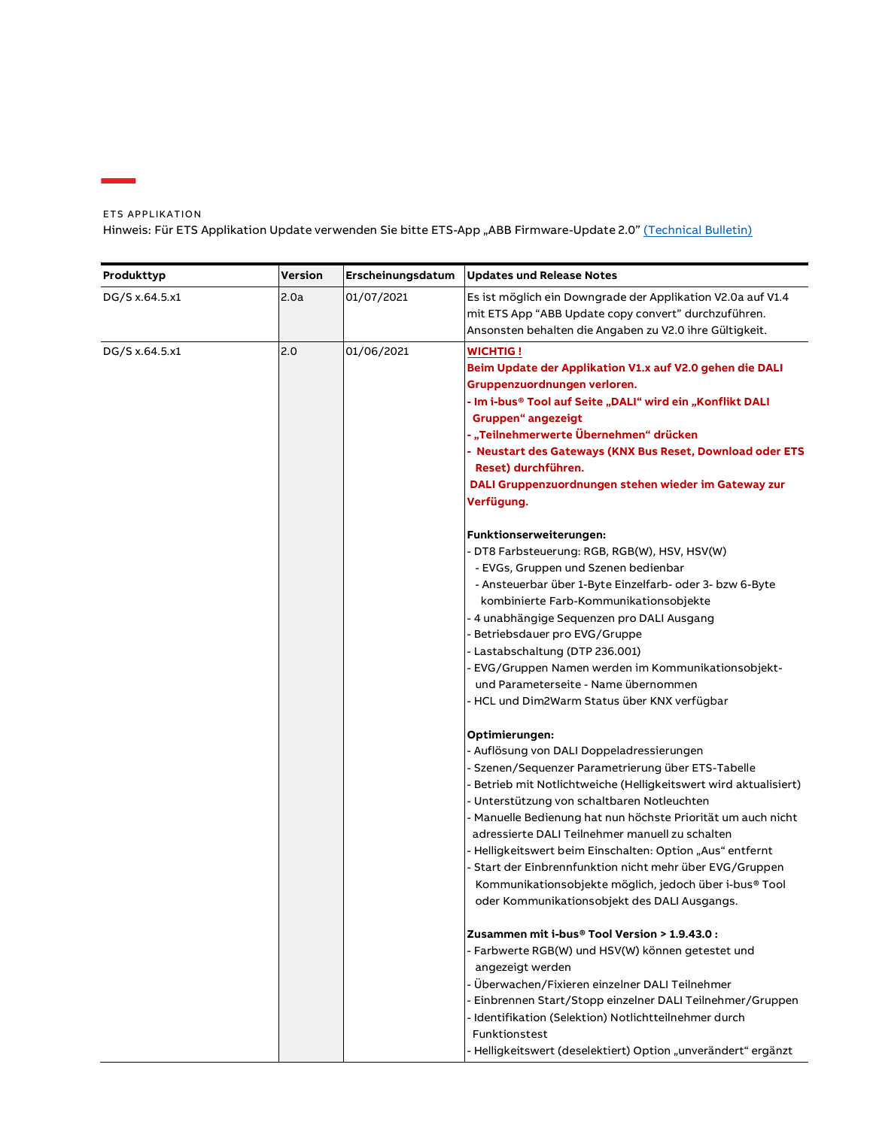ETS APPLIKATION Hinweis: Für ETS Applikation Update verwenden Sie bitte ETS-App "ABB Firmware-Update 2.0" [\(Technical Bulletin\)](http://search.abb.com/library/Download.aspx?DocumentID=9AKK107680A9015&LanguageCode=de&DocumentPartId=DE&Action=Launch)

| Produkttyp                          | Version                                                                                                                                                                                                                                                                                                                                                                                                     | Erscheinungsdatum | <b>Updates und Release Notes</b>                                                                                                                                                                                                                                                                                                                                                                                                                                                                                                                                                           |
|-------------------------------------|-------------------------------------------------------------------------------------------------------------------------------------------------------------------------------------------------------------------------------------------------------------------------------------------------------------------------------------------------------------------------------------------------------------|-------------------|--------------------------------------------------------------------------------------------------------------------------------------------------------------------------------------------------------------------------------------------------------------------------------------------------------------------------------------------------------------------------------------------------------------------------------------------------------------------------------------------------------------------------------------------------------------------------------------------|
| DG/S x.64.5.x1                      | 2.0a                                                                                                                                                                                                                                                                                                                                                                                                        | 01/07/2021        | Es ist möglich ein Downgrade der Applikation V2.0a auf V1.4<br>mit ETS App "ABB Update copy convert" durchzuführen.<br>Ansonsten behalten die Angaben zu V2.0 ihre Gültigkeit.                                                                                                                                                                                                                                                                                                                                                                                                             |
| 2.0<br>DG/S x.64.5.x1<br>01/06/2021 | <b>WICHTIG !</b><br>Beim Update der Applikation V1.x auf V2.0 gehen die DALI<br>Gruppenzuordnungen verloren.<br>- Im i-bus® Tool auf Seite "DALI" wird ein "Konflikt DALI<br><b>Gruppen</b> " angezeigt<br>- "Teilnehmerwerte Übernehmen" drücken<br>- Neustart des Gateways (KNX Bus Reset, Download oder ETS<br>Reset) durchführen.<br>DALI Gruppenzuordnungen stehen wieder im Gateway zur<br>Verfügung. |                   |                                                                                                                                                                                                                                                                                                                                                                                                                                                                                                                                                                                            |
|                                     |                                                                                                                                                                                                                                                                                                                                                                                                             |                   | Funktionserweiterungen:<br>- DT8 Farbsteuerung: RGB, RGB(W), HSV, HSV(W)<br>- EVGs, Gruppen und Szenen bedienbar<br>- Ansteuerbar über 1-Byte Einzelfarb- oder 3- bzw 6-Byte<br>kombinierte Farb-Kommunikationsobjekte<br>- 4 unabhängige Seguenzen pro DALI Ausgang<br>- Betriebsdauer pro EVG/Gruppe<br>- Lastabschaltung (DTP 236.001)<br>- EVG/Gruppen Namen werden im Kommunikationsobjekt-<br>und Parameterseite - Name übernommen<br>- HCL und Dim2Warm Status über KNX verfügbar                                                                                                   |
|                                     |                                                                                                                                                                                                                                                                                                                                                                                                             |                   | Optimierungen:<br>- Auflösung von DALI Doppeladressierungen<br>- Szenen/Sequenzer Parametrierung über ETS-Tabelle<br>- Betrieb mit Notlichtweiche (Helligkeitswert wird aktualisiert)<br>- Unterstützung von schaltbaren Notleuchten<br>- Manuelle Bedienung hat nun höchste Priorität um auch nicht<br>adressierte DALI Teilnehmer manuell zu schalten<br>- Helligkeitswert beim Einschalten: Option "Aus" entfernt<br>- Start der Einbrennfunktion nicht mehr über EVG/Gruppen<br>Kommunikationsobjekte möglich, jedoch über i-bus® Tool<br>oder Kommunikationsobjekt des DALI Ausgangs. |
|                                     |                                                                                                                                                                                                                                                                                                                                                                                                             |                   | Zusammen mit i-bus® Tool Version > 1.9.43.0 :<br>- Farbwerte RGB(W) und HSV(W) können getestet und<br>angezeigt werden<br>- Überwachen/Fixieren einzelner DALI Teilnehmer<br>Einbrennen Start/Stopp einzelner DALI Teilnehmer/Gruppen<br>- Identifikation (Selektion) Notlichtteilnehmer durch<br>Funktionstest<br>- Helligkeitswert (deselektiert) Option "unverändert" ergänzt                                                                                                                                                                                                           |